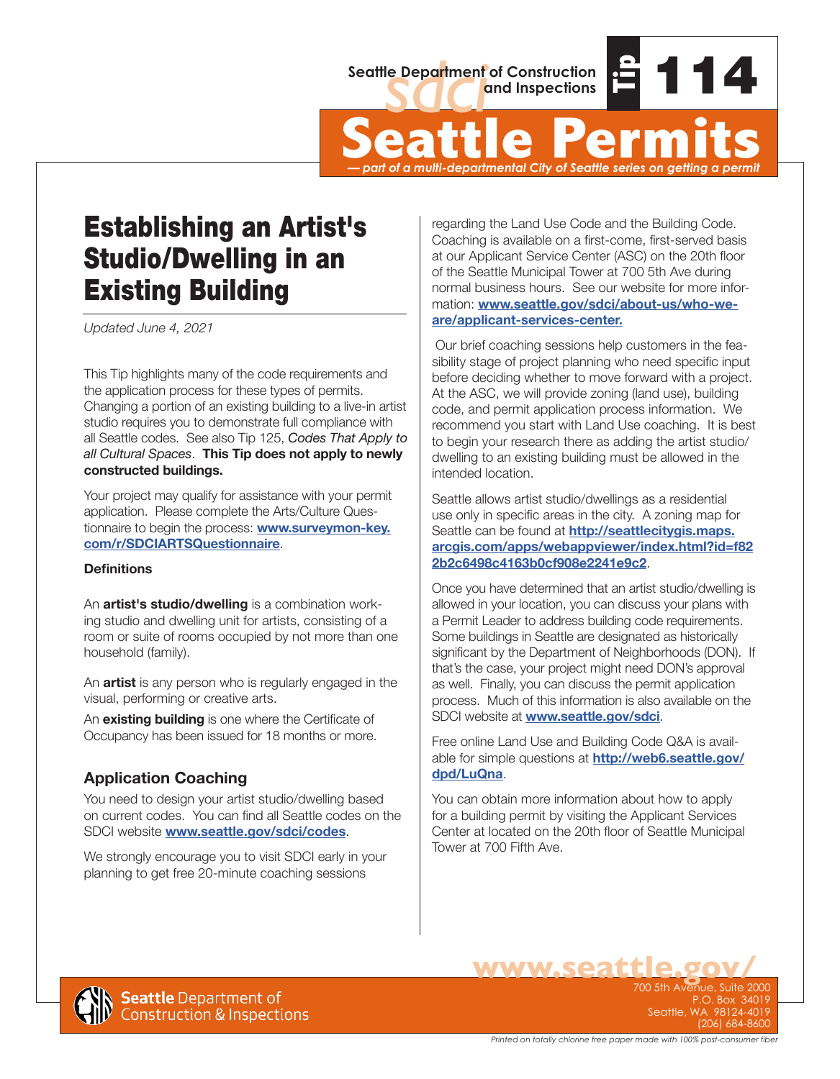

Seattle Department of Construction<br> **Seattle Permits**<br>  $\frac{1}{2}$ <br> **Seattle Permits** *— part of a multi-departmental City of Seattle series on getting a permit*

Establishing an Artist's Studio/Dwelling in an Existing Building

*Updated June 4, 2021*

This Tip highlights many of the code requirements and the application process for these types of permits. Changing a portion of an existing building to a live-in artist studio requires you to demonstrate full compliance with all Seattle codes. See also Tip 125, *Codes That Apply to all Cultural Spaces*. **This Tip does not apply to newly constructed buildings.**

Your project may qualify for assistance with your permit application. Please complete the Arts/Culture Questionnaire to begin the process: **[www.surveymon-key.](http://www.surveymon-key.com/r/SDCIARTSQuestionnaire) [com/r/SDCIARTSQuestionnaire](http://www.surveymon-key.com/r/SDCIARTSQuestionnaire)**.

#### **Definitions**

An **artist's studio/dwelling** is a combination working studio and dwelling unit for artists, consisting of a room or suite of rooms occupied by not more than one household (family).

An **artist** is any person who is regularly engaged in the visual, performing or creative arts.

An **existing building** is one where the Certificate of Occupancy has been issued for 18 months or more.

## **Application Coaching**

You need to design your artist studio/dwelling based on current codes. You can find all Seattle codes on the SDCI website **[www.seattle.gov/sdci/codes](http://www.seattle.gov/sdci/codes)**.

We strongly encourage you to visit SDCI early in your planning to get free 20-minute coaching sessions

regarding the Land Use Code and the Building Code. Coaching is available on a first-come, first-served basis at our Applicant Service Center (ASC) on the 20th floor of the Seattle Municipal Tower at 700 5th Ave during normal business hours. See our website for more information: **[www.seattle.gov/sdci/about-us/who-we](http://www.seattle.gov/sdci/about-us/who-we-are/applicant-services-center.)[are/applicant-services-center.](http://www.seattle.gov/sdci/about-us/who-we-are/applicant-services-center.)**

114

 Our brief coaching sessions help customers in the feasibility stage of project planning who need specific input before deciding whether to move forward with a project. At the ASC, we will provide zoning (land use), building code, and permit application process information. We recommend you start with Land Use coaching. It is best to begin your research there as adding the artist studio/ dwelling to an existing building must be allowed in the intended location.

Seattle allows artist studio/dwellings as a residential use only in specific areas in the city. A zoning map for Seattle can be found at **[http://seattlecitygis.maps.](http://seattlecitygis.maps.arcgis.com/apps/webappviewer/index.html?id=f822b2c6498c4163b0cf908e2241e9c2) [arcgis.com/apps/webappviewer/index.html?id=f82](http://seattlecitygis.maps.arcgis.com/apps/webappviewer/index.html?id=f822b2c6498c4163b0cf908e2241e9c2) [2b2c6498c4163b0cf908e2241e9c2](http://seattlecitygis.maps.arcgis.com/apps/webappviewer/index.html?id=f822b2c6498c4163b0cf908e2241e9c2)**.

Once you have determined that an artist studio/dwelling is allowed in your location, you can discuss your plans with a Permit Leader to address building code requirements. Some buildings in Seattle are designated as historically significant by the Department of Neighborhoods (DON). If that's the case, your project might need DON's approval as well. Finally, you can discuss the permit application process. Much of this information is also available on the SDCI website at **[www.seattle.gov/sdci](http://www.seattle.gov/sdci)**.

Free online Land Use and Building Code Q&A is available for simple questions at **[http://web6.seattle.gov/](http://web6.seattle.gov/dpd/LuQna) [dpd/LuQna](http://web6.seattle.gov/dpd/LuQna)**.

You can obtain more information about how to apply for a building permit by visiting the Applicant Services Center at located on the 20th floor of Seattle Municipal Tower at 700 Fifth Ave.

www.seattle

nue, Suite 2000 P.O. Box 34019 Seattle, WA 98124-4019 (206) 684-8600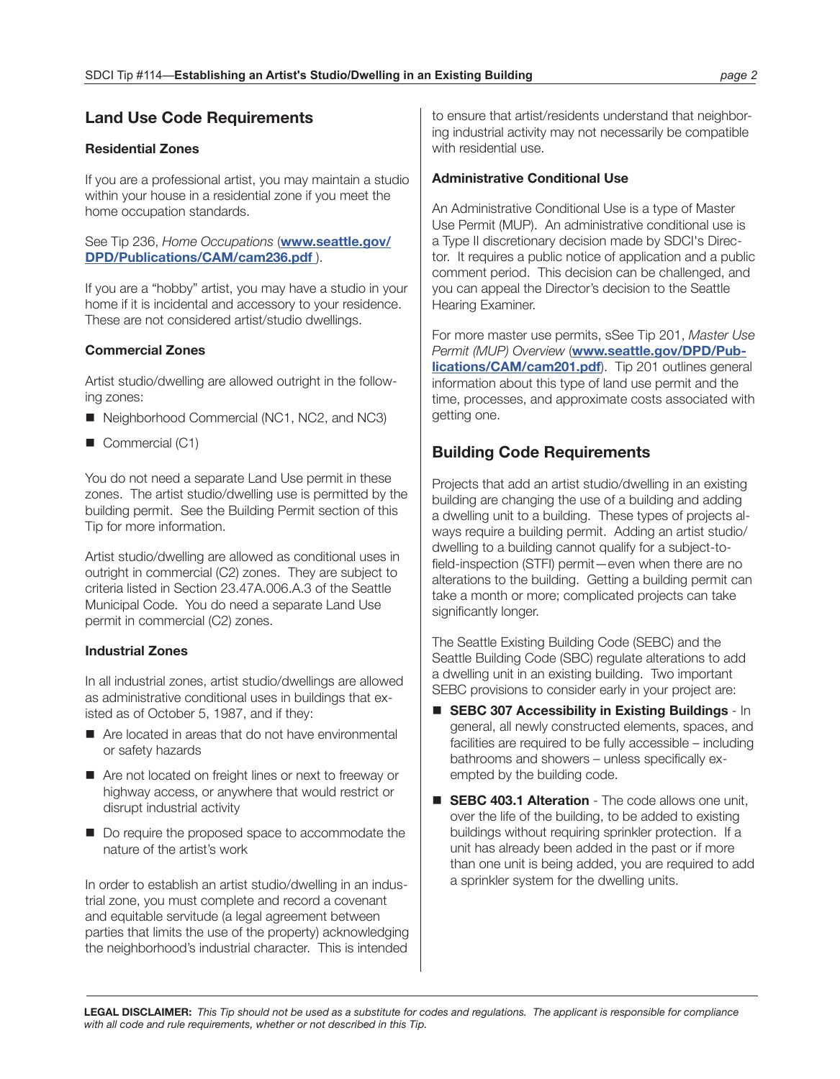### **Land Use Code Requirements**

#### **Residential Zones**

If you are a professional artist, you may maintain a studio within your house in a residential zone if you meet the home occupation standards.

See Tip 236, *Home Occupations* (**[www.seattle.gov/](http://www.seattle.gov/DPD/Publications/CAM/cam236.pdf) [DPD/Publications/CAM/cam236.pdf](http://www.seattle.gov/DPD/Publications/CAM/cam236.pdf)** ).

If you are a "hobby" artist, you may have a studio in your home if it is incidental and accessory to your residence. These are not considered artist/studio dwellings.

#### **Commercial Zones**

Artist studio/dwelling are allowed outright in the following zones:

- Neighborhood Commercial (NC1, NC2, and NC3)
- Commercial (C1)

You do not need a separate Land Use permit in these zones. The artist studio/dwelling use is permitted by the building permit. See the Building Permit section of this Tip for more information.

Artist studio/dwelling are allowed as conditional uses in outright in commercial (C2) zones. They are subject to criteria listed in Section 23.47A.006.A.3 of the Seattle Municipal Code. You do need a separate Land Use permit in commercial (C2) zones.

#### **Industrial Zones**

In all industrial zones, artist studio/dwellings are allowed as administrative conditional uses in buildings that existed as of October 5, 1987, and if they:

- Are located in areas that do not have environmental or safety hazards
- Are not located on freight lines or next to freeway or highway access, or anywhere that would restrict or disrupt industrial activity
- Do require the proposed space to accommodate the nature of the artist's work

In order to establish an artist studio/dwelling in an industrial zone, you must complete and record a covenant and equitable servitude (a legal agreement between parties that limits the use of the property) acknowledging the neighborhood's industrial character. This is intended

to ensure that artist/residents understand that neighboring industrial activity may not necessarily be compatible with residential use.

#### **Administrative Conditional Use**

An Administrative Conditional Use is a type of Master Use Permit (MUP). An administrative conditional use is a Type II discretionary decision made by SDCI's Director. It requires a public notice of application and a public comment period. This decision can be challenged, and you can appeal the Director's decision to the Seattle Hearing Examiner.

For more master use permits, sSee Tip 201, *Master Use Permit (MUP) Overview* (**[www.seattle.gov/DPD/Pub](http://www.seattle.gov/DPD/Publications/CAM/cam201.pdf)[lications/CAM/cam201.pdf](http://www.seattle.gov/DPD/Publications/CAM/cam201.pdf)**). Tip 201 outlines general information about this type of land use permit and the time, processes, and approximate costs associated with getting one.

### **Building Code Requirements**

Projects that add an artist studio/dwelling in an existing building are changing the use of a building and adding a dwelling unit to a building. These types of projects always require a building permit. Adding an artist studio/ dwelling to a building cannot qualify for a subject-tofield-inspection (STFI) permit—even when there are no alterations to the building. Getting a building permit can take a month or more; complicated projects can take significantly longer.

The Seattle Existing Building Code (SEBC) and the Seattle Building Code (SBC) regulate alterations to add a dwelling unit in an existing building. Two important SEBC provisions to consider early in your project are:

- **SEBC 307 Accessibility in Existing Buildings** In general, all newly constructed elements, spaces, and facilities are required to be fully accessible – including bathrooms and showers – unless specifically exempted by the building code.
- **SEBC 403.1 Alteration** The code allows one unit, over the life of the building, to be added to existing buildings without requiring sprinkler protection. If a unit has already been added in the past or if more than one unit is being added, you are required to add a sprinkler system for the dwelling units.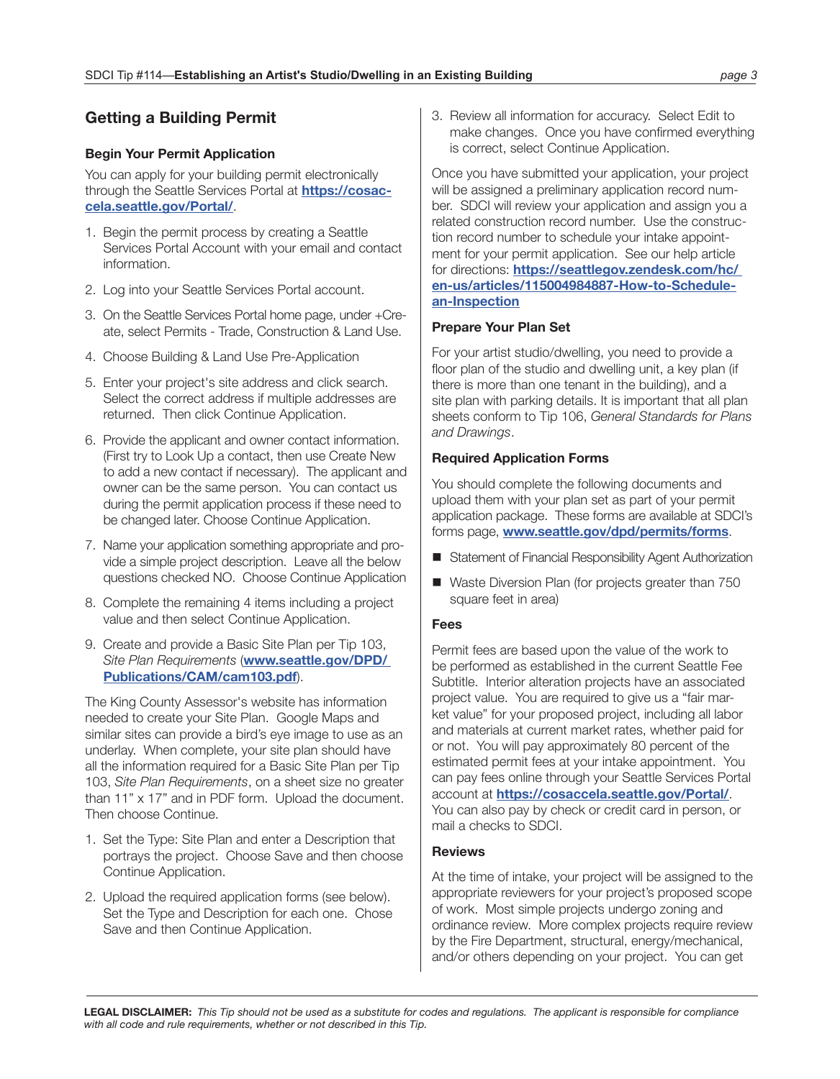### **Getting a Building Permit**

#### **Begin Your Permit Application**

You can apply for your building permit electronically through the Seattle Services Portal at **[https://cosac](https://cosaccela.seattle.gov/Portal/)[cela.seattle.gov/Portal/](https://cosaccela.seattle.gov/Portal/)**.

- 1. Begin the permit process by creating a Seattle Services Portal Account with your email and contact information.
- 2. Log into your Seattle Services Portal account.
- 3. On the Seattle Services Portal home page, under +Create, select Permits - Trade, Construction & Land Use.
- 4. Choose Building & Land Use Pre-Application
- 5. Enter your project's site address and click search. Select the correct address if multiple addresses are returned. Then click Continue Application.
- 6. Provide the applicant and owner contact information. (First try to Look Up a contact, then use Create New to add a new contact if necessary). The applicant and owner can be the same person. You can contact us during the permit application process if these need to be changed later. Choose Continue Application.
- 7. Name your application something appropriate and provide a simple project description. Leave all the below questions checked NO. Choose Continue Application
- 8. Complete the remaining 4 items including a project value and then select Continue Application.
- 9. Create and provide a Basic Site Plan per Tip 103, *Site Plan Requirements* (**[www.seattle.gov/DPD/](http://www.seattle.gov/DPD/Publications/CAM/cam103.pdf)  [Publications/CAM/cam103.pdf](http://www.seattle.gov/DPD/Publications/CAM/cam103.pdf)**).

The King County Assessor's website has information needed to create your Site Plan. Google Maps and similar sites can provide a bird's eye image to use as an underlay. When complete, your site plan should have all the information required for a Basic Site Plan per Tip 103, *Site Plan Requirements*, on a sheet size no greater than 11" x 17" and in PDF form. Upload the document. Then choose Continue.

- 1. Set the Type: Site Plan and enter a Description that portrays the project. Choose Save and then choose Continue Application.
- 2. Upload the required application forms (see below). Set the Type and Description for each one. Chose Save and then Continue Application.

3. Review all information for accuracy. Select Edit to make changes. Once you have confirmed everything is correct, select Continue Application.

Once you have submitted your application, your project will be assigned a preliminary application record number. SDCI will review your application and assign you a related construction record number. Use the construction record number to schedule your intake appointment for your permit application. See our help article for directions: **[https://seattlegov.zendesk.com/hc/](https://seattlegov.zendesk.com/hc/ en-us/articles/115004984887-How-to-Schedule-an-Inspection)  [en-us/articles/115004984887-How-to-Schedule](https://seattlegov.zendesk.com/hc/ en-us/articles/115004984887-How-to-Schedule-an-Inspection)[an-Inspection](https://seattlegov.zendesk.com/hc/ en-us/articles/115004984887-How-to-Schedule-an-Inspection)**

#### **Prepare Your Plan Set**

For your artist studio/dwelling, you need to provide a floor plan of the studio and dwelling unit, a key plan (if there is more than one tenant in the building), and a site plan with parking details. It is important that all plan sheets conform to Tip 106, *General Standards for Plans and Drawings*.

#### **Required Application Forms**

You should complete the following documents and upload them with your plan set as part of your permit application package. These forms are available at SDCI's forms page, **[www.seattle.gov/dpd/permits/forms](http://www.seattle.gov/dpd/permits/forms)**.

- Statement of Financial Responsibility Agent Authorization
- Waste Diversion Plan (for projects greater than 750 square feet in area)

#### **Fees**

Permit fees are based upon the value of the work to be performed as established in the current Seattle Fee Subtitle. Interior alteration projects have an associated project value. You are required to give us a "fair market value" for your proposed project, including all labor and materials at current market rates, whether paid for or not. You will pay approximately 80 percent of the estimated permit fees at your intake appointment. You can pay fees online through your Seattle Services Portal account at **<https://cosaccela.seattle.gov/Portal/>**. You can also pay by check or credit card in person, or mail a checks to SDCI.

#### **Reviews**

At the time of intake, your project will be assigned to the appropriate reviewers for your project's proposed scope of work. Most simple projects undergo zoning and ordinance review. More complex projects require review by the Fire Department, structural, energy/mechanical, and/or others depending on your project. You can get